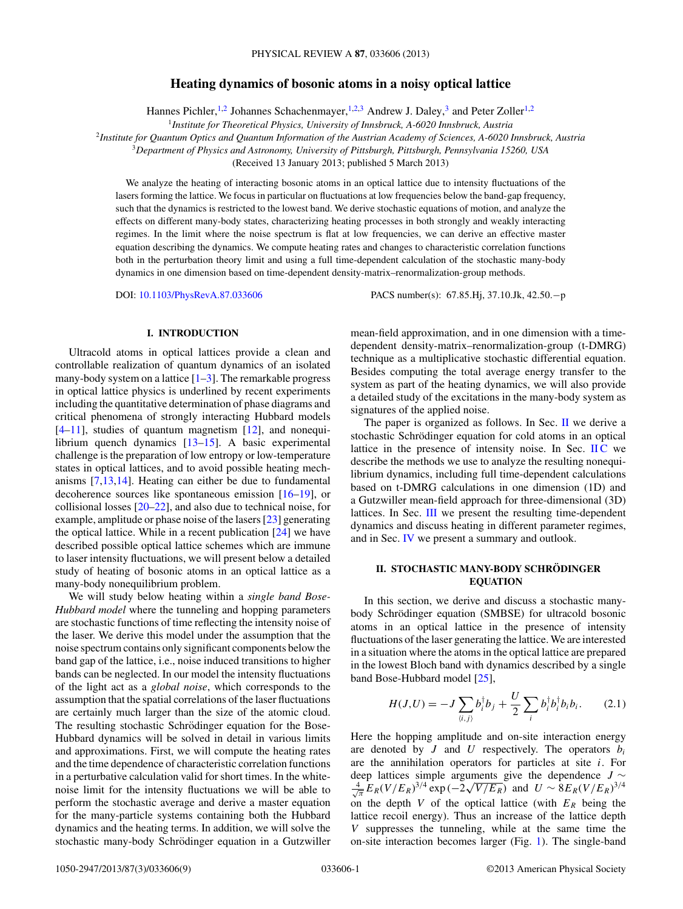# **Heating dynamics of bosonic atoms in a noisy optical lattice**

Hannes Pichler,<sup>1,2</sup> Johannes Schachenmayer,<sup>1,2,3</sup> Andrew J. Daley,<sup>3</sup> and Peter Zoller<sup>1,2</sup>

<sup>1</sup>*Institute for Theoretical Physics, University of Innsbruck, A-6020 Innsbruck, Austria*

<span id="page-0-0"></span><sup>2</sup>*Institute for Quantum Optics and Quantum Information of the Austrian Academy of Sciences, A-6020 Innsbruck, Austria*

<sup>3</sup>*Department of Physics and Astronomy, University of Pittsburgh, Pittsburgh, Pennsylvania 15260, USA*

(Received 13 January 2013; published 5 March 2013)

We analyze the heating of interacting bosonic atoms in an optical lattice due to intensity fluctuations of the lasers forming the lattice. We focus in particular on fluctuations at low frequencies below the band-gap frequency, such that the dynamics is restricted to the lowest band. We derive stochastic equations of motion, and analyze the effects on different many-body states, characterizing heating processes in both strongly and weakly interacting regimes. In the limit where the noise spectrum is flat at low frequencies, we can derive an effective master equation describing the dynamics. We compute heating rates and changes to characteristic correlation functions both in the perturbation theory limit and using a full time-dependent calculation of the stochastic many-body dynamics in one dimension based on time-dependent density-matrix–renormalization-group methods.

DOI: [10.1103/PhysRevA.87.033606](http://dx.doi.org/10.1103/PhysRevA.87.033606) PACS number(s): 67*.*85*.*Hj, 37*.*10*.*Jk, 42*.*50*.*−p

### **I. INTRODUCTION**

Ultracold atoms in optical lattices provide a clean and controllable realization of quantum dynamics of an isolated many-body system on a lattice  $[1-3]$ . The remarkable progress in optical lattice physics is underlined by recent experiments including the quantitative determination of phase diagrams and critical phenomena of strongly interacting Hubbard models  $[4–11]$ , studies of quantum magnetism  $[12]$ , and nonequilibrium quench dynamics [\[13–15\]](#page-8-0). A basic experimental challenge is the preparation of low entropy or low-temperature states in optical lattices, and to avoid possible heating mechanisms [\[7,13,14\]](#page-8-0). Heating can either be due to fundamental decoherence sources like spontaneous emission [\[16–19\]](#page-8-0), or collisional losses [\[20–22\]](#page-8-0), and also due to technical noise, for example, amplitude or phase noise of the lasers [\[23\]](#page-8-0) generating the optical lattice. While in a recent publication [\[24\]](#page-8-0) we have described possible optical lattice schemes which are immune to laser intensity fluctuations, we will present below a detailed study of heating of bosonic atoms in an optical lattice as a many-body nonequilibrium problem.

We will study below heating within a *single band Bose-Hubbard model* where the tunneling and hopping parameters are stochastic functions of time reflecting the intensity noise of the laser. We derive this model under the assumption that the noise spectrum contains only significant components below the band gap of the lattice, i.e., noise induced transitions to higher bands can be neglected. In our model the intensity fluctuations of the light act as a *global noise*, which corresponds to the assumption that the spatial correlations of the laser fluctuations are certainly much larger than the size of the atomic cloud. The resulting stochastic Schrödinger equation for the Bose-Hubbard dynamics will be solved in detail in various limits and approximations. First, we will compute the heating rates and the time dependence of characteristic correlation functions in a perturbative calculation valid for short times. In the whitenoise limit for the intensity fluctuations we will be able to perform the stochastic average and derive a master equation for the many-particle systems containing both the Hubbard dynamics and the heating terms. In addition, we will solve the stochastic many-body Schrödinger equation in a Gutzwiller mean-field approximation, and in one dimension with a timedependent density-matrix–renormalization-group (t-DMRG) technique as a multiplicative stochastic differential equation. Besides computing the total average energy transfer to the system as part of the heating dynamics, we will also provide a detailed study of the excitations in the many-body system as signatures of the applied noise.

The paper is organized as follows. In Sec.  $\Pi$  we derive a stochastic Schrödinger equation for cold atoms in an optical lattice in the presence of intensity noise. In Sec.  $\overline{HC}$  we describe the methods we use to analyze the resulting nonequilibrium dynamics, including full time-dependent calculations based on t-DMRG calculations in one dimension (1D) and a Gutzwiller mean-field approach for three-dimensional (3D) lattices. In Sec. [III](#page-2-0) we present the resulting time-dependent dynamics and discuss heating in different parameter regimes, and in Sec. [IV](#page-6-0) we present a summary and outlook.

## **II. STOCHASTIC MANY-BODY SCHRÖDINGER EQUATION**

In this section, we derive and discuss a stochastic manybody Schrödinger equation (SMBSE) for ultracold bosonic atoms in an optical lattice in the presence of intensity fluctuations of the laser generating the lattice. We are interested in a situation where the atoms in the optical lattice are prepared in the lowest Bloch band with dynamics described by a single band Bose-Hubbard model [\[25\]](#page-8-0),

$$
H(J, U) = -J \sum_{\langle i,j \rangle} b_i^{\dagger} b_j + \frac{U}{2} \sum_i b_i^{\dagger} b_i^{\dagger} b_i b_i.
$$
 (2.1)

Here the hopping amplitude and on-site interaction energy are denoted by  $J$  and  $U$  respectively. The operators  $b_i$ are the annihilation operators for particles at site *i*. For deep lattices simple arguments give the dependence *J* ∼  $\frac{4}{\sqrt{\pi}} E_R (V/E_R)^{3/4} \exp(-2\sqrt{V/E_R})$  and  $U \sim 8 E_R (V/E_R)^{3/4}$ on the depth *V* of the optical lattice (with  $E_R$  being the lattice recoil energy). Thus an increase of the lattice depth *V* suppresses the tunneling, while at the same time the on-site interaction becomes larger (Fig. [1\)](#page-1-0). The single-band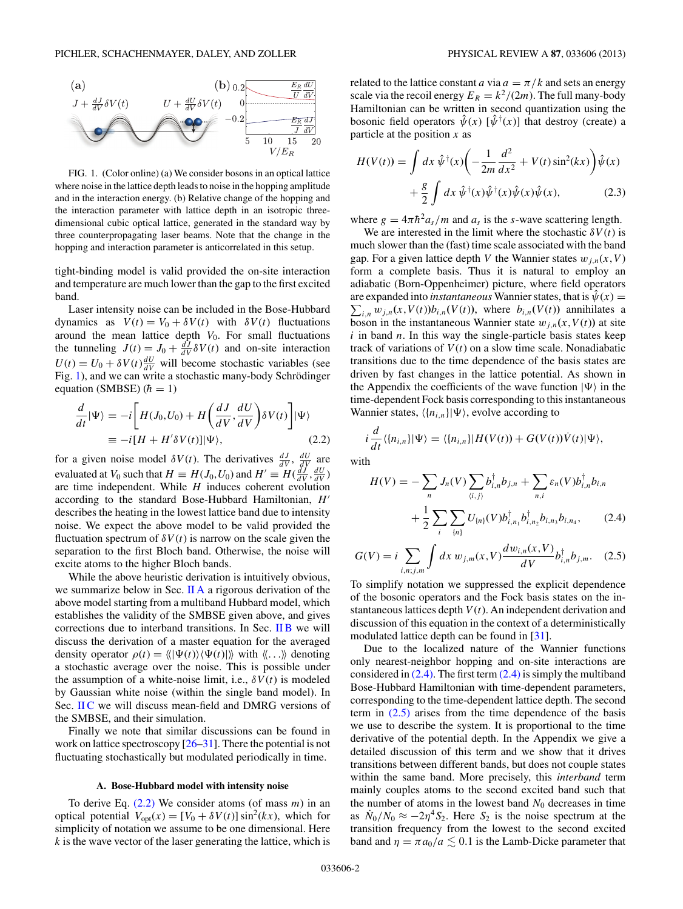<span id="page-1-0"></span>

FIG. 1. (Color online) (a) We consider bosons in an optical lattice where noise in the lattice depth leads to noise in the hopping amplitude and in the interaction energy. (b) Relative change of the hopping and the interaction parameter with lattice depth in an isotropic threedimensional cubic optical lattice, generated in the standard way by three counterpropagating laser beams. Note that the change in the hopping and interaction parameter is anticorrelated in this setup.

tight-binding model is valid provided the on-site interaction and temperature are much lower than the gap to the first excited band.

Laser intensity noise can be included in the Bose-Hubbard dynamics as  $V(t) = V_0 + \delta V(t)$  with  $\delta V(t)$  fluctuations around the mean lattice depth  $V_0$ . For small fluctuations the tunneling  $J(t) = J_0 + \frac{dJ}{dV} \delta V(t)$  and on-site interaction  $U(t) = U_0 + \delta V(t) \frac{dU}{dV}$  will become stochastic variables (see Fig. 1), and we can write a stochastic many-body Schrödinger equation (SMBSE)  $(h = 1)$ 

$$
\frac{d}{dt}|\Psi\rangle = -i \left[ H(J_0, U_0) + H\left(\frac{dJ}{dV}, \frac{dU}{dV}\right) \delta V(t) \right] |\Psi\rangle
$$
  

$$
\equiv -i[H + H'\delta V(t)] |\Psi\rangle,
$$
 (2.2)

for a given noise model  $\delta V(t)$ . The derivatives  $\frac{dJ}{dV}$ ,  $\frac{dU}{dV}$  are evaluated at *V*<sub>0</sub> such that  $H \equiv H(J_0, U_0)$  and  $H' \equiv H(\frac{dJ}{dV}, \frac{dU}{dV})$ are time independent. While *H* induces coherent evolution according to the standard Bose-Hubbard Hamiltonian, *H* describes the heating in the lowest lattice band due to intensity noise. We expect the above model to be valid provided the fluctuation spectrum of  $\delta V(t)$  is narrow on the scale given the separation to the first Bloch band. Otherwise, the noise will excite atoms to the higher Bloch bands.

While the above heuristic derivation is intuitively obvious, we summarize below in Sec. II A a rigorous derivation of the above model starting from a multiband Hubbard model, which establishes the validity of the SMBSE given above, and gives corrections due to interband transitions. In Sec. [II B](#page-2-0) we will discuss the derivation of a master equation for the averaged density operator  $\rho(t) = \langle \langle |\Psi(t) \rangle \langle \Psi(t) | \rangle \rangle$  with  $\langle \langle ... \rangle \rangle$  denoting a stochastic average over the noise. This is possible under the assumption of a white-noise limit, i.e.,  $\delta V(t)$  is modeled by Gaussian white noise (within the single band model). In Sec. [II C](#page-2-0) we will discuss mean-field and DMRG versions of the SMBSE, and their simulation.

Finally we note that similar discussions can be found in work on lattice spectroscopy [\[26–31\]](#page-8-0). There the potential is not fluctuating stochastically but modulated periodically in time.

# **A. Bose-Hubbard model with intensity noise**

To derive Eq. (2.2) We consider atoms (of mass *m*) in an optical potential  $V_{opt}(x) = [V_0 + \delta V(t)] \sin^2(kx)$ , which for simplicity of notation we assume to be one dimensional. Here *k* is the wave vector of the laser generating the lattice, which is

related to the lattice constant *a* via  $a = \pi/k$  and sets an energy scale via the recoil energy  $E_R = k^2/(2m)$ . The full many-body Hamiltonian can be written in second quantization using the bosonic field operators  $\hat{\psi}(x)$  [ $\hat{\psi}^{\dagger}(x)$ ] that destroy (create) a particle at the position *x* as

$$
H(V(t)) = \int dx \,\hat{\psi}^{\dagger}(x) \left( -\frac{1}{2m} \frac{d^2}{dx^2} + V(t) \sin^2(kx) \right) \hat{\psi}(x) + \frac{8}{2} \int dx \,\hat{\psi}^{\dagger}(x) \hat{\psi}^{\dagger}(x) \hat{\psi}(x) \hat{\psi}(x), \tag{2.3}
$$

where  $g = 4\pi \hbar^2 a_s/m$  and  $a_s$  is the *s*-wave scattering length.

We are interested in the limit where the stochastic  $\delta V(t)$  is much slower than the (fast) time scale associated with the band gap. For a given lattice depth *V* the Wannier states  $w_{i,n}(x, V)$ form a complete basis. Thus it is natural to employ an adiabatic (Born-Oppenheimer) picture, where field operators are expanded into *instantaneous* Wannier states, that is  $\hat{\psi}(x) =$  $\sum_{i,n} w_{j,n}(x, V(t)) b_{i,n}(V(t))$ , where  $b_{i,n}(V(t))$  annihilates a boson in the instantaneous Wannier state  $w_{j,n}(x, V(t))$  at site *i* in band *n*. In this way the single-particle basis states keep track of variations of  $V(t)$  on a slow time scale. Nonadiabatic transitions due to the time dependence of the basis states are driven by fast changes in the lattice potential. As shown in the Appendix the coefficients of the wave function  $|\Psi\rangle$  in the time-dependent Fock basis corresponding to this instantaneous Wannier states,  $\langle \{n_{i,n}\}|\Psi\rangle$ , evolve according to

$$
i\frac{d}{dt}\langle\{n_{i,n}\}\vert\Psi\rangle=\langle\{n_{i,n}\}\vert H(V(t))+G(V(t))\dot{V}(t)\vert\Psi\rangle,
$$

with

$$
H(V) = -\sum_{n} J_{n}(V) \sum_{\langle i,j \rangle} b_{i,n}^{\dagger} b_{j,n} + \sum_{n,i} \varepsilon_{n}(V) b_{i,n}^{\dagger} b_{i,n} + \frac{1}{2} \sum_{i} \sum_{\{n\}} U_{\{n\}}(V) b_{i,n1}^{\dagger} b_{i,n2}^{\dagger} b_{i,n3} b_{i,n4}, \qquad (2.4)
$$

$$
G(V) = i \sum_{i,n;j,m} \int dx \, w_{j,m}(x,V) \frac{dw_{i,n}(x,V)}{dV} b_{i,n}^{\dagger} b_{j,m}. \quad (2.5)
$$

To simplify notation we suppressed the explicit dependence of the bosonic operators and the Fock basis states on the instantaneous lattices depth  $V(t)$ . An independent derivation and discussion of this equation in the context of a deterministically modulated lattice depth can be found in [\[31\]](#page-8-0).

Due to the localized nature of the Wannier functions only nearest-neighbor hopping and on-site interactions are considered in  $(2.4)$ . The first term  $(2.4)$  is simply the multiband Bose-Hubbard Hamiltonian with time-dependent parameters, corresponding to the time-dependent lattice depth. The second term in  $(2.5)$  arises from the time dependence of the basis we use to describe the system. It is proportional to the time derivative of the potential depth. In the Appendix we give a detailed discussion of this term and we show that it drives transitions between different bands, but does not couple states within the same band. More precisely, this *interband* term mainly couples atoms to the second excited band such that the number of atoms in the lowest band  $N_0$  decreases in time as  $\dot{N}_0/N_0 \approx -2\eta^4 S_2$ . Here  $S_2$  is the noise spectrum at the transition frequency from the lowest to the second excited band and  $\eta = \pi a_0/a \lesssim 0.1$  is the Lamb-Dicke parameter that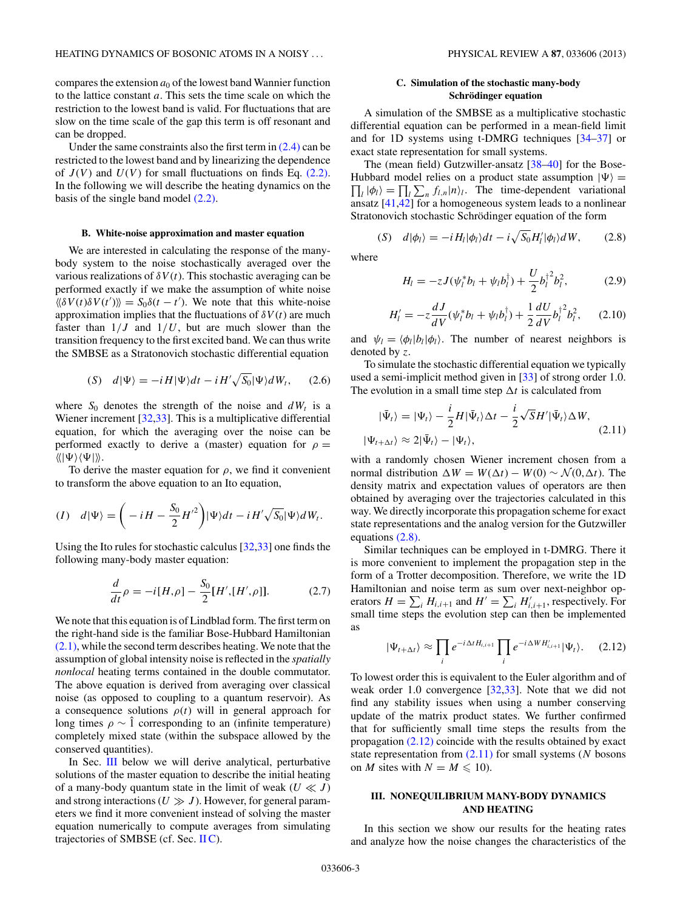<span id="page-2-0"></span>compares the extension  $a_0$  of the lowest band Wannier function to the lattice constant *a*. This sets the time scale on which the restriction to the lowest band is valid. For fluctuations that are slow on the time scale of the gap this term is off resonant and can be dropped.

Under the same constraints also the first term in  $(2.4)$  can be restricted to the lowest band and by linearizing the dependence of  $J(V)$  and  $U(V)$  for small fluctuations on finds Eq.  $(2.2)$ . In the following we will describe the heating dynamics on the basis of the single band model [\(2.2\).](#page-1-0)

## **B. White-noise approximation and master equation**

We are interested in calculating the response of the manybody system to the noise stochastically averaged over the various realizations of  $\delta V(t)$ . This stochastic averaging can be performed exactly if we make the assumption of white noise  $\langle \delta V(t) \delta V(t') \rangle = S_0 \delta(t - t')$ . We note that this white-noise approximation implies that the fluctuations of  $\delta V(t)$  are much faster than  $1/J$  and  $1/U$ , but are much slower than the transition frequency to the first excited band. We can thus write the SMBSE as a Stratonovich stochastic differential equation

$$
(S) \quad d|\Psi\rangle = -iH|\Psi\rangle dt - iH'\sqrt{S_0}|\Psi\rangle dW_t, \qquad (2.6)
$$

where  $S_0$  denotes the strength of the noise and  $dW_t$  is a Wiener increment [\[32,33\]](#page-8-0). This is a multiplicative differential equation, for which the averaging over the noise can be performed exactly to derive a (master) equation for  $\rho =$  $\langle\!\langle|\Psi\rangle\langle\Psi|\rangle\!\rangle.$ 

To derive the master equation for  $\rho$ , we find it convenient to transform the above equation to an Ito equation,

$$
(I) \quad d|\Psi\rangle = \bigg(-iH - \frac{S_0}{2}H'^2\bigg)|\Psi\rangle dt - iH'\sqrt{S_0}|\Psi\rangle dW_t.
$$

Using the Ito rules for stochastic calculus [\[32,33\]](#page-8-0) one finds the following many-body master equation:

$$
\frac{d}{dt}\rho = -i[H,\rho] - \frac{S_0}{2}[H', [H',\rho]].
$$
\n(2.7)

We note that this equation is of Lindblad form. The first term on the right-hand side is the familiar Bose-Hubbard Hamiltonian [\(2.1\),](#page-0-0) while the second term describes heating. We note that the assumption of global intensity noise is reflected in the *spatially nonlocal* heating terms contained in the double commutator. The above equation is derived from averaging over classical noise (as opposed to coupling to a quantum reservoir). As a consequence solutions  $\rho(t)$  will in general approach for long times  $\rho \sim 1$  corresponding to an (infinite temperature) completely mixed state (within the subspace allowed by the conserved quantities).

In Sec. III below we will derive analytical, perturbative solutions of the master equation to describe the initial heating of a many-body quantum state in the limit of weak  $(U \ll J)$ and strong interactions  $(U \gg J)$ . However, for general parameters we find it more convenient instead of solving the master equation numerically to compute averages from simulating trajectories of SMBSE (cf. Sec. II C).

## **C. Simulation of the stochastic many-body**  $Schrödinger equation$

A simulation of the SMBSE as a multiplicative stochastic differential equation can be performed in a mean-field limit and for 1D systems using t-DMRG techniques [\[34–37\]](#page-8-0) or exact state representation for small systems.

The (mean field) Gutzwiller-ansatz [\[38–40\]](#page-8-0) for the Bose-Hubbard model relies on a product state assumption  $|\Psi\rangle$  =  $\prod_l |\phi_l\rangle = \prod_l \sum_n f_{l,n} |n\rangle_l$ . The time-dependent variational ansatz [\[41,42\]](#page-8-0) for a homogeneous system leads to a nonlinear Stratonovich stochastic Schrödinger equation of the form

$$
(S) \quad d|\phi_l\rangle = -i H_l|\phi_l\rangle dt - i\sqrt{S_0}H'_l|\phi_l\rangle dW, \tag{2.8}
$$

where

$$
H_{l} = -zJ(\psi_{l}^{*}b_{l} + \psi_{l}b_{l}^{\dagger}) + \frac{U}{2}b_{l}^{\dagger^{2}}b_{l}^{2}, \qquad (2.9)
$$

$$
H'_{l} = -z \frac{dJ}{dV} (\psi_{l}^{*} b_{l} + \psi_{l} b_{l}^{\dagger}) + \frac{1}{2} \frac{dU}{dV} b_{l}^{\dagger 2} b_{l}^{2}, \quad (2.10)
$$

and  $\psi_l = \langle \phi_l | b_l | \phi_l \rangle$ . The number of nearest neighbors is denoted by *z*.

To simulate the stochastic differential equation we typically used a semi-implicit method given in [\[33\]](#page-8-0) of strong order 1.0. The evolution in a small time step  $\Delta t$  is calculated from

$$
|\bar{\Psi}_t\rangle = |\Psi_t\rangle - \frac{i}{2} H |\bar{\Psi}_t\rangle \Delta t - \frac{i}{2} \sqrt{S} H' |\bar{\Psi}_t\rangle \Delta W,
$$
  

$$
|\Psi_{t+\Delta t}\rangle \approx 2|\bar{\Psi}_t\rangle - |\Psi_t\rangle,
$$
 (2.11)

with a randomly chosen Wiener increment chosen from a normal distribution  $\Delta W = W(\Delta t) - W(0) \sim \mathcal{N}(0, \Delta t)$ . The density matrix and expectation values of operators are then obtained by averaging over the trajectories calculated in this way. We directly incorporate this propagation scheme for exact state representations and the analog version for the Gutzwiller equations (2.8).

Similar techniques can be employed in t-DMRG. There it is more convenient to implement the propagation step in the form of a Trotter decomposition. Therefore, we write the 1D Hamiltonian and noise term as sum over next-neighbor operators  $H = \sum_i H_{i,i+1}$  and  $H' = \sum_i H'_{i,i+1}$ , respectively. For small time steps the evolution step can then be implemented as

$$
|\Psi_{t+\Delta t}\rangle \approx \prod_i e^{-i\Delta t H_{i,i+1}} \prod_i e^{-i\Delta W H'_{i,i+1}} |\Psi_t\rangle. \quad (2.12)
$$

To lowest order this is equivalent to the Euler algorithm and of weak order 1.0 convergence [\[32,33\]](#page-8-0). Note that we did not find any stability issues when using a number conserving update of the matrix product states. We further confirmed that for sufficiently small time steps the results from the propagation  $(2.12)$  coincide with the results obtained by exact state representation from (2.11) for small systems (*N* bosons on *M* sites with  $N = M \leq 10$ .

# **III. NONEQUILIBRIUM MANY-BODY DYNAMICS AND HEATING**

In this section we show our results for the heating rates and analyze how the noise changes the characteristics of the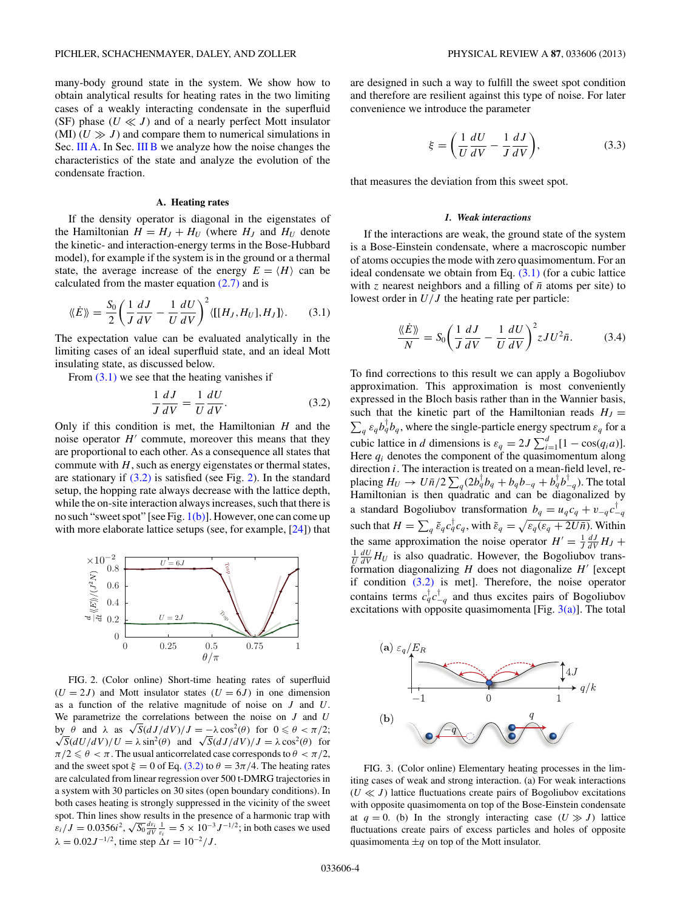<span id="page-3-0"></span>many-body ground state in the system. We show how to obtain analytical results for heating rates in the two limiting cases of a weakly interacting condensate in the superfluid (SF) phase  $(U \ll J)$  and of a nearly perfect Mott insulator (MI)  $(U \gg J)$  and compare them to numerical simulations in Sec. III A. In Sec. [III B](#page-5-0) we analyze how the noise changes the characteristics of the state and analyze the evolution of the condensate fraction.

### **A. Heating rates**

If the density operator is diagonal in the eigenstates of the Hamiltonian  $H = H_J + H_U$  (where  $H_J$  and  $H_U$  denote the kinetic- and interaction-energy terms in the Bose-Hubbard model), for example if the system is in the ground or a thermal state, the average increase of the energy  $E = \langle H \rangle$  can be calculated from the master equation  $(2.7)$  and is

$$
\langle \langle \dot{E} \rangle \rangle = \frac{S_0}{2} \left( \frac{1}{J} \frac{dJ}{dV} - \frac{1}{U} \frac{dU}{dV} \right)^2 \langle [[H_J, H_U], H_J] \rangle. \tag{3.1}
$$

The expectation value can be evaluated analytically in the limiting cases of an ideal superfluid state, and an ideal Mott insulating state, as discussed below.

From  $(3.1)$  we see that the heating vanishes if

$$
\frac{1}{J}\frac{dJ}{dV} = \frac{1}{U}\frac{dU}{dV}.
$$
\n(3.2)

Only if this condition is met, the Hamiltonian *H* and the noise operator  $H'$  commute, moreover this means that they are proportional to each other. As a consequence all states that commute with *H*, such as energy eigenstates or thermal states, are stationary if  $(3.2)$  is satisfied (see Fig. 2). In the standard setup, the hopping rate always decrease with the lattice depth, while the on-site interaction always increases, such that there is no such "sweet spot" [see Fig.  $1(b)$ ]. However, one can come up with more elaborate lattice setups (see, for example, [\[24\]](#page-8-0)) that



FIG. 2. (Color online) Short-time heating rates of superfluid  $(U = 2J)$  and Mott insulator states  $(U = 6J)$  in one dimension as a function of the relative magnitude of noise on *J* and *U*. We parametrize the correlations between the noise on *J* and *U* by *θ* and *λ* as  $\sqrt{S}$ (*dJ*/*dV*)/*J* = −*λ* cos<sup>2</sup>(*θ*) for 0 ≤ *θ* < π/2;  $\sqrt{S}$ (*dU*/*dV*)/*U* =  $\lambda \sin^2(\theta)$  and  $\sqrt{S}$ (*dJ*/*dV*)/*J* =  $\lambda \cos^2(\theta)$  for  $\pi/2 \leq \theta < \pi$ . The usual anticorrelated case corresponds to  $\theta < \pi/2$ , and the sweet spot  $\xi = 0$  of Eq. (3.2) to  $\theta = 3\pi/4$ . The heating rates are calculated from linear regression over 500 t-DMRG trajectories in a system with 30 particles on 30 sites (open boundary conditions). In both cases heating is strongly suppressed in the vicinity of the sweet spot. Thin lines show results in the presence of a harmonic trap with spot. Thin thes show results in the presence of a harmonic trap with  $\varepsilon_i/J = 0.0356i^2$ ,  $\sqrt{S_0} \frac{dz_i}{dV} \frac{1}{\varepsilon_i} = 5 \times 10^{-3} J^{-1/2}$ ; in both cases we used  $\lambda = 0.02J^{-1/2}$ , time step  $\Delta t = 10^{-2}/J$ .

are designed in such a way to fulfill the sweet spot condition and therefore are resilient against this type of noise. For later convenience we introduce the parameter

$$
\xi = \left(\frac{1}{U}\frac{dU}{dV} - \frac{1}{J}\frac{dJ}{dV}\right),\tag{3.3}
$$

that measures the deviation from this sweet spot.

#### *1. Weak interactions*

If the interactions are weak, the ground state of the system is a Bose-Einstein condensate, where a macroscopic number of atoms occupies the mode with zero quasimomentum. For an ideal condensate we obtain from Eq.  $(3.1)$  (for a cubic lattice with *z* nearest neighbors and a filling of  $\bar{n}$  atoms per site) to lowest order in *U/J* the heating rate per particle:

$$
\frac{\langle \langle \dot{E} \rangle \rangle}{N} = S_0 \left( \frac{1}{J} \frac{dJ}{dV} - \frac{1}{U} \frac{dU}{dV} \right)^2 zJU^2 \bar{n}.
$$
 (3.4)

To find corrections to this result we can apply a Bogoliubov approximation. This approximation is most conveniently expressed in the Bloch basis rather than in the Wannier basis, such that the kinetic part of the Hamiltonian reads  $H_J =$  $\sum_{q} \varepsilon_{q} b_{q}^{\dagger} b_{q}$ , where the single-particle energy spectrum  $\varepsilon_{q}$  for a cubic lattice in *d* dimensions is  $\varepsilon_q = 2J \sum_{i=1}^d [1 - \cos(q_i a)].$ Here *qi* denotes the component of the quasimomentum along direction *i*. The interaction is treated on a mean-field level, replacing  $H_U \rightarrow U \bar{n}/2 \sum_q (2b_q^{\dagger} b_q + b_q b_{-q} + b_q^{\dagger} b_{-q}^{\dagger})$ . The total Hamiltonian is then  $\frac{1}{2}$  quadratic and can be diagonalized by a standard Bogoliubov transformation  $b_q = u_q c_q + v_{-q} c_{-q}^{\dagger}$ such that  $H = \sum_q \tilde{\epsilon}_q c_q^{\dagger} c_q^{\dagger}$ , with  $\tilde{\epsilon}_q = \sqrt{\epsilon_q (\epsilon_q + 2U\bar{n})}$ . Within the same approximation the noise operator  $H' = \frac{1}{J} \frac{dJ}{dV} H_J +$  $\frac{1}{U} \frac{dU}{dV} H_U$  is also quadratic. However, the Bogoliubov transformation diagonalizing  $H$  does not diagonalize  $H'$  [except if condition (3.2) is met]. Therefore, the noise operator contains terms  $c_q^{\dagger} c_{-q}^{\dagger}$  and thus excites pairs of Bogoliubov excitations with opposite quasimomenta [Fig.  $3(a)$ ]. The total



FIG. 3. (Color online) Elementary heating processes in the limiting cases of weak and strong interaction. (a) For weak interactions  $(U \ll J)$  lattice fluctuations create pairs of Bogoliubov excitations with opposite quasimomenta on top of the Bose-Einstein condensate at  $q = 0$ . (b) In the strongly interacting case  $(U \gg J)$  lattice fluctuations create pairs of excess particles and holes of opposite quasimomenta  $\pm q$  on top of the Mott insulator.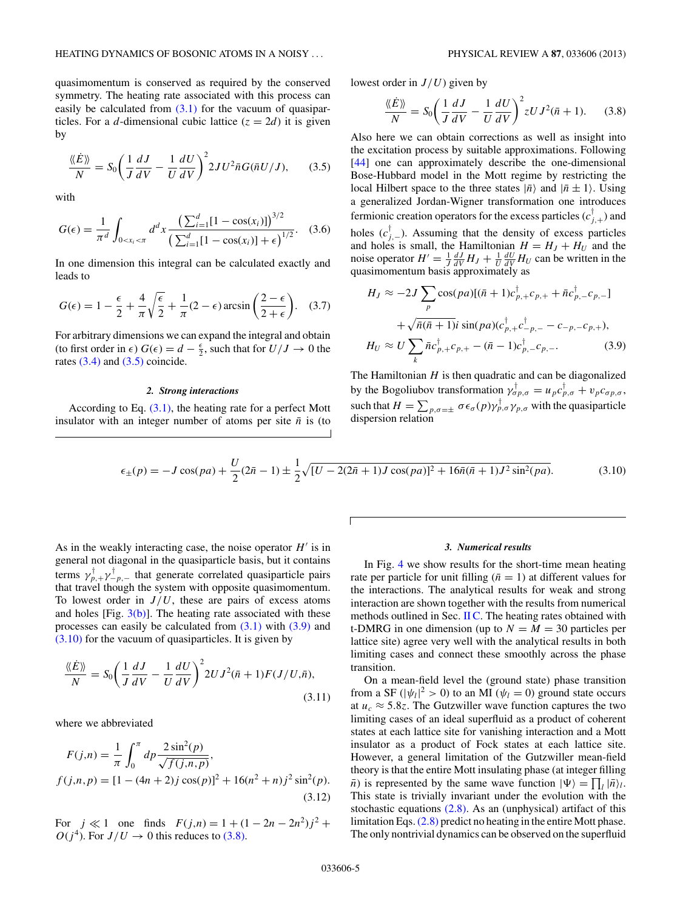quasimomentum is conserved as required by the conserved symmetry. The heating rate associated with this process can easily be calculated from  $(3.1)$  for the vacuum of quasiparticles. For a *d*-dimensional cubic lattice  $(z = 2d)$  it is given by

$$
\frac{\langle \langle \dot{E} \rangle \rangle}{N} = S_0 \left( \frac{1}{J} \frac{dJ}{dV} - \frac{1}{U} \frac{dU}{dV} \right)^2 2JU^2 \bar{n} G(\bar{n} U/J), \quad (3.5)
$$

with

$$
G(\epsilon) = \frac{1}{\pi^d} \int_{0 < x_i < \pi} d^d x \frac{\left(\sum_{i=1}^d [1 - \cos(x_i)]\right)^{3/2}}{\left(\sum_{i=1}^d [1 - \cos(x_i)] + \epsilon\right)^{1/2}}.\tag{3.6}
$$

In one dimension this integral can be calculated exactly and leads to

$$
G(\epsilon) = 1 - \frac{\epsilon}{2} + \frac{4}{\pi} \sqrt{\frac{\epsilon}{2}} + \frac{1}{\pi} (2 - \epsilon) \arcsin\left(\frac{2 - \epsilon}{2 + \epsilon}\right).
$$
 (3.7)

For arbitrary dimensions we can expand the integral and obtain (to first order in  $\epsilon$ )  $G(\epsilon) = d - \frac{\epsilon}{2}$ , such that for  $U/J \to 0$  the rates  $(3.4)$  and  $(3.5)$  coincide.

### *2. Strong interactions*

According to Eq. [\(3.1\),](#page-3-0) the heating rate for a perfect Mott insulator with an integer number of atoms per site  $\bar{n}$  is (to lowest order in *J/U*) given by

$$
\frac{\langle \langle \dot{E} \rangle \rangle}{N} = S_0 \left( \frac{1}{J} \frac{dJ}{dV} - \frac{1}{U} \frac{dU}{dV} \right)^2 zU J^2(\bar{n} + 1). \tag{3.8}
$$

Also here we can obtain corrections as well as insight into the excitation process by suitable approximations. Following [\[44\]](#page-8-0) one can approximately describe the one-dimensional Bose-Hubbard model in the Mott regime by restricting the local Hilbert space to the three states  $|\bar{n}\rangle$  and  $|\bar{n} \pm 1\rangle$ . Using a generalized Jordan-Wigner transformation one introduces fermionic creation operators for the excess particles  $(c_{j,+}^{\dagger})$  and holes  $(c_{j,-}^{\dagger})$ . Assuming that the density of excess particles and holes is small, the Hamiltonian  $H = H_J + H_U$  and the noise operator  $H' = \frac{1}{J} \frac{dJ}{dV} H_J + \frac{1}{U} \frac{dU}{dV} H_U$  can be written in the quasimomentum basis approximately as

$$
H_J \approx -2J \sum_{p} \cos(pa) [(\bar{n} + 1)c_{p,+}^{\dagger} c_{p,+} + \bar{n}c_{p,-}^{\dagger} c_{p,-}]
$$
  
+  $\sqrt{\bar{n}}(\bar{n} + 1)i \sin(pa) (c_{p,+}^{\dagger} c_{-p,-}^{\dagger} - c_{-p,-} c_{p,+}),$   

$$
H_U \approx U \sum_{k} \bar{n} c_{p,+}^{\dagger} c_{p,+} - (\bar{n} - 1) c_{p,-}^{\dagger} c_{p,-}.
$$
 (3.9)

The Hamiltonian *H* is then quadratic and can be diagonalized by the Bogoliubov transformation  $\gamma_{\sigma p,\sigma}^{\dagger} = u_p c_{p,\sigma}^{\dagger} + v_p c_{\sigma p,\sigma}$ , such that  $H = \sum_{p,\sigma=\pm} \sigma \epsilon_{\sigma}(p) \gamma_{p,\sigma}^{\dagger} \gamma_{p,\sigma}$  with the quasiparticle dispersion relation

$$
\epsilon_{\pm}(p) = -J\cos(pa) + \frac{U}{2}(2\bar{n} - 1) \pm \frac{1}{2}\sqrt{[U - 2(2\bar{n} + 1)J\cos(pa)]^2 + 16\bar{n}(\bar{n} + 1)J^2\sin^2(pa)}.
$$
(3.10)

As in the weakly interacting case, the noise operator  $H'$  is in general not diagonal in the quasiparticle basis, but it contains terms  $\gamma_{p,+}^{\perp}\gamma_{-p,-}^{\perp}$  that generate correlated quasiparticle pairs that travel though the system with opposite quasimomentum. To lowest order in  $J/U$ , these are pairs of excess atoms and holes  $[Fig. 3(b)]$  $[Fig. 3(b)]$ . The heating rate associated with these processes can easily be calculated from  $(3.1)$  with  $(3.9)$  and (3.10) for the vacuum of quasiparticles. It is given by

$$
\frac{\langle \langle \dot{E} \rangle \rangle}{N} = S_0 \left( \frac{1}{J} \frac{dJ}{dV} - \frac{1}{U} \frac{dU}{dV} \right)^2 2U J^2(\bar{n} + 1) F(J/U, \bar{n}),\tag{3.11}
$$

where we abbreviated

$$
F(j,n) = \frac{1}{\pi} \int_0^{\pi} dp \frac{2 \sin^2(p)}{\sqrt{f(j,n,p)}},
$$
  

$$
f(j,n,p) = [1 - (4n+2)j \cos(p)]^2 + 16(n^2+n)j^2 \sin^2(p).
$$
  
(3.12)

For  $j \ll 1$  one finds  $F(j,n) = 1 + (1 - 2n - 2n^2)j^2 +$  $O(j^4)$ . For  $J/U \rightarrow 0$  this reduces to (3.8).

### *3. Numerical results*

In Fig. [4](#page-5-0) we show results for the short-time mean heating rate per particle for unit filling ( $\bar{n} = 1$ ) at different values for the interactions. The analytical results for weak and strong interaction are shown together with the results from numerical methods outlined in Sec. [II C.](#page-2-0) The heating rates obtained with t-DMRG in one dimension (up to  $N = M = 30$  particles per lattice site) agree very well with the analytical results in both limiting cases and connect these smoothly across the phase transition.

On a mean-field level the (ground state) phase transition from a SF ( $|\psi_l|^2 > 0$ ) to an MI ( $\psi_l = 0$ ) ground state occurs at  $u_c \approx 5.8z$ . The Gutzwiller wave function captures the two limiting cases of an ideal superfluid as a product of coherent states at each lattice site for vanishing interaction and a Mott insulator as a product of Fock states at each lattice site. However, a general limitation of the Gutzwiller mean-field theory is that the entire Mott insulating phase (at integer filling  $\overline{n}$ ) is represented by the same wave function  $|\Psi\rangle = \prod_l |\overline{n}\rangle_l$ . This state is trivially invariant under the evolution with the stochastic equations  $(2.8)$ . As an (unphysical) artifact of this limitation Eqs.[\(2.8\)](#page-2-0) predict no heating in the entire Mott phase. The only nontrivial dynamics can be observed on the superfluid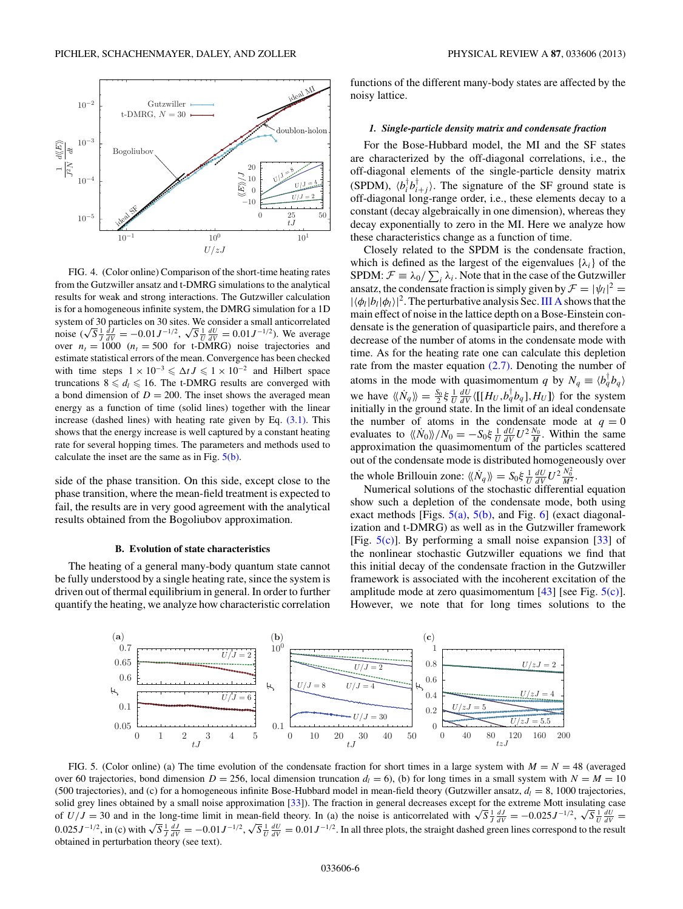<span id="page-5-0"></span>

FIG. 4. (Color online) Comparison of the short-time heating rates from the Gutzwiller ansatz and t-DMRG simulations to the analytical results for weak and strong interactions. The Gutzwiller calculation is for a homogeneous infinite system, the DMRG simulation for a 1D system of 30 particles on 30 sites. We consider a small anticorrelated<br>noise  $(\sqrt{S} \frac{1}{J} \frac{dJ}{dV} = -0.01 J^{-1/2}, \sqrt{S} \frac{1}{U} \frac{dU}{dV} = 0.01 J^{-1/2})$ . We average over  $n_t = 1000$  ( $n_t = 500$  for t-DMRG) noise trajectories and estimate statistical errors of the mean. Convergence has been checked with time steps  $1 \times 10^{-3} \le \Delta t J \le 1 \times 10^{-2}$  and Hilbert space truncations  $8 \le d_l \le 16$ . The t-DMRG results are converged with a bond dimension of  $D = 200$ . The inset shows the averaged mean energy as a function of time (solid lines) together with the linear increase (dashed lines) with heating rate given by Eq.  $(3.1)$ . This shows that the energy increase is well captured by a constant heating rate for several hopping times. The parameters and methods used to calculate the inset are the same as in Fig.  $5(b)$ .

side of the phase transition. On this side, except close to the phase transition, where the mean-field treatment is expected to fail, the results are in very good agreement with the analytical results obtained from the Bogoliubov approximation.

### **B. Evolution of state characteristics**

The heating of a general many-body quantum state cannot be fully understood by a single heating rate, since the system is driven out of thermal equilibrium in general. In order to further quantify the heating, we analyze how characteristic correlation

functions of the different many-body states are affected by the noisy lattice.

## *1. Single-particle density matrix and condensate fraction*

For the Bose-Hubbard model, the MI and the SF states are characterized by the off-diagonal correlations, i.e., the off-diagonal elements of the single-particle density matrix (SPDM),  $\langle b_i^{\dagger} b_{i+j}^{\dagger} \rangle$ . The signature of the SF ground state is off-diagonal long-range order, i.e., these elements decay to a constant (decay algebraically in one dimension), whereas they decay exponentially to zero in the MI. Here we analyze how these characteristics change as a function of time.

Closely related to the SPDM is the condensate fraction, which is defined as the largest of the eigenvalues  $\{\lambda_i\}$  of the SPDM:  $\mathcal{F} \equiv \lambda_0 / \sum_i \lambda_i$ . Note that in the case of the Gutzwiller ansatz, the condensate fraction is simply given by  $\mathcal{F} = |\psi_l|^2 =$  $|\langle \phi_l | b_l | \phi_l \rangle|^2$ . The perturbative analysis Sec. [III A](#page-3-0) shows that the main effect of noise in the lattice depth on a Bose-Einstein condensate is the generation of quasiparticle pairs, and therefore a decrease of the number of atoms in the condensate mode with time. As for the heating rate one can calculate this depletion rate from the master equation [\(2.7\).](#page-2-0) Denoting the number of atoms in the mode with quasimomentum *q* by  $N_q \equiv \langle b_q^{\dagger} b_q \rangle$ we have  $\langle N \rangle = \frac{S_0}{2} \xi \frac{1}{U} \frac{dU}{dV} \langle [[H_U, b_q^{\dagger} b_q], H_U] \rangle$  for the system initially in the ground state. In the limit of an ideal condensate the number of atoms in the condensate mode at  $q = 0$ evaluates to  $\langle N_0 \rangle / N_0 = -S_0 \xi \frac{1}{U} \frac{dU}{dV} U^2 \frac{N_0}{M}$ . Within the same approximation the quasimomentum of the particles scattered out of the condensate mode is distributed homogeneously over the whole Brillouin zone:  $\langle N_q \rangle = S_0 \xi \frac{1}{U} \frac{dU}{dV} U^2 \frac{N_0^2}{M^2}$ .

Numerical solutions of the stochastic differential equation show such a depletion of the condensate mode, both using exact methods [Figs.  $5(a)$ ,  $5(b)$ , and Fig. [6\]](#page-6-0) (exact diagonalization and t-DMRG) as well as in the Gutzwiller framework [Fig.  $5(c)$ ]. By performing a small noise expansion [\[33\]](#page-8-0) of the nonlinear stochastic Gutzwiller equations we find that this initial decay of the condensate fraction in the Gutzwiller framework is associated with the incoherent excitation of the amplitude mode at zero quasimomentum  $[43]$  [see Fig.  $5(c)$ ]. However, we note that for long times solutions to the



FIG. 5. (Color online) (a) The time evolution of the condensate fraction for short times in a large system with  $M = N = 48$  (averaged over 60 trajectories, bond dimension  $D = 256$ , local dimension truncation  $d_l = 6$ ), (b) for long times in a small system with  $N = M = 10$ (500 trajectories), and (c) for a homogeneous infinite Bose-Hubbard model in mean-field theory (Gutzwiller ansatz,  $d_l = 8$ , 1000 trajectories, solid grey lines obtained by a small noise approximation [\[33\]](#page-8-0)). The fraction in general decreases except for the extreme Mott insulating case solid grey lines obtained by a small noise approximation [33]). The fraction in general decreases except for the extreme Mott insulating case<br>of  $U/J = 30$  and in the long-time limit in mean-field theory. In (a) the noise i obtained in perturbation theory (see text).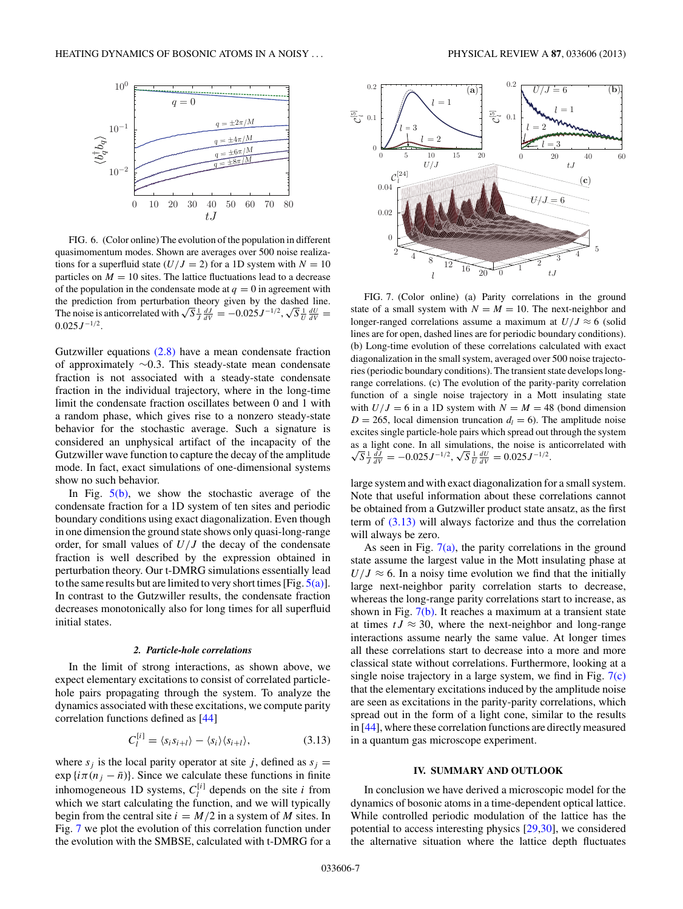<span id="page-6-0"></span>

FIG. 6. (Color online) The evolution of the population in different quasimomentum modes. Shown are averages over 500 noise realizations for a superfluid state  $(U/J = 2)$  for a 1D system with  $N = 10$ particles on  $M = 10$  sites. The lattice fluctuations lead to a decrease of the population in the condensate mode at  $q = 0$  in agreement with the prediction from perturbation theory given by the dashed line. The noise is anticorrelated with  $\sqrt{S} \frac{1}{J} \frac{dJ}{dV} = -0.025 J^{-1/2}, \sqrt{S} \frac{1}{U} \frac{dU}{dV} =$ 0*.*025*J* <sup>−</sup>1*/*2.

Gutzwiller equations [\(2.8\)](#page-2-0) have a mean condensate fraction of approximately ∼0.3. This steady-state mean condensate fraction is not associated with a steady-state condensate fraction in the individual trajectory, where in the long-time limit the condensate fraction oscillates between 0 and 1 with a random phase, which gives rise to a nonzero steady-state behavior for the stochastic average. Such a signature is considered an unphysical artifact of the incapacity of the Gutzwiller wave function to capture the decay of the amplitude mode. In fact, exact simulations of one-dimensional systems show no such behavior.

In Fig.  $5(b)$ , we show the stochastic average of the condensate fraction for a 1D system of ten sites and periodic boundary conditions using exact diagonalization. Even though in one dimension the ground state shows only quasi-long-range order, for small values of *U/J* the decay of the condensate fraction is well described by the expression obtained in perturbation theory. Our t-DMRG simulations essentially lead to the same results but are limited to very short times [Fig.  $5(a)$ ]. In contrast to the Gutzwiller results, the condensate fraction decreases monotonically also for long times for all superfluid initial states.

### *2. Particle-hole correlations*

In the limit of strong interactions, as shown above, we expect elementary excitations to consist of correlated particlehole pairs propagating through the system. To analyze the dynamics associated with these excitations, we compute parity correlation functions defined as [\[44\]](#page-8-0)

$$
C_l^{[i]} = \langle s_i s_{i+l} \rangle - \langle s_i \rangle \langle s_{i+l} \rangle, \tag{3.13}
$$

where  $s_i$  is the local parity operator at site *j*, defined as  $s_i$  =  $\exp\{i\pi(n_j - \bar{n})\}$ . Since we calculate these functions in finite inhomogeneous 1D systems,  $C_l^{[i]}$  depends on the site *i* from which we start calculating the function, and we will typically begin from the central site  $i = M/2$  in a system of *M* sites. In Fig. 7 we plot the evolution of this correlation function under the evolution with the SMBSE, calculated with t-DMRG for a



 $\frac{16}{20} = 1$  tJ

FIG. 7. (Color online) (a) Parity correlations in the ground state of a small system with  $N = M = 10$ . The next-neighbor and longer-ranged correlations assume a maximum at  $U/J \approx 6$  (solid lines are for open, dashed lines are for periodic boundary conditions). (b) Long-time evolution of these correlations calculated with exact diagonalization in the small system, averaged over 500 noise trajectories (periodic boundary conditions). The transient state develops longrange correlations. (c) The evolution of the parity-parity correlation function of a single noise trajectory in a Mott insulating state with  $U/J = 6$  in a 1D system with  $N = M = 48$  (bond dimension  $D = 265$ , local dimension truncation  $d<sub>l</sub> = 6$ ). The amplitude noise excites single particle-hole pairs which spread out through the system as a light cone. In all simulations, the noise is anticorrelated with  $\sqrt{S} \frac{1}{J} \frac{dJ}{dV} = -0.025 J^{-1/2}$ ,  $\sqrt{S} \frac{1}{U} \frac{dU}{dV} = 0.025 J^{-1/2}$ .

large system and with exact diagonalization for a small system. Note that useful information about these correlations cannot be obtained from a Gutzwiller product state ansatz, as the first term of (3.13) will always factorize and thus the correlation will always be zero.

As seen in Fig.  $7(a)$ , the parity correlations in the ground state assume the largest value in the Mott insulating phase at  $U/J \approx 6$ . In a noisy time evolution we find that the initially large next-neighbor parity correlation starts to decrease, whereas the long-range parity correlations start to increase, as shown in Fig.  $7(b)$ . It reaches a maximum at a transient state at times  $tJ \approx 30$ , where the next-neighbor and long-range interactions assume nearly the same value. At longer times all these correlations start to decrease into a more and more classical state without correlations. Furthermore, looking at a single noise trajectory in a large system, we find in Fig.  $7(c)$ that the elementary excitations induced by the amplitude noise are seen as excitations in the parity-parity correlations, which spread out in the form of a light cone, similar to the results in [\[44\]](#page-8-0), where these correlation functions are directly measured in a quantum gas microscope experiment.

## **IV. SUMMARY AND OUTLOOK**

In conclusion we have derived a microscopic model for the dynamics of bosonic atoms in a time-dependent optical lattice. While controlled periodic modulation of the lattice has the potential to access interesting physics [\[29,30\]](#page-8-0), we considered the alternative situation where the lattice depth fluctuates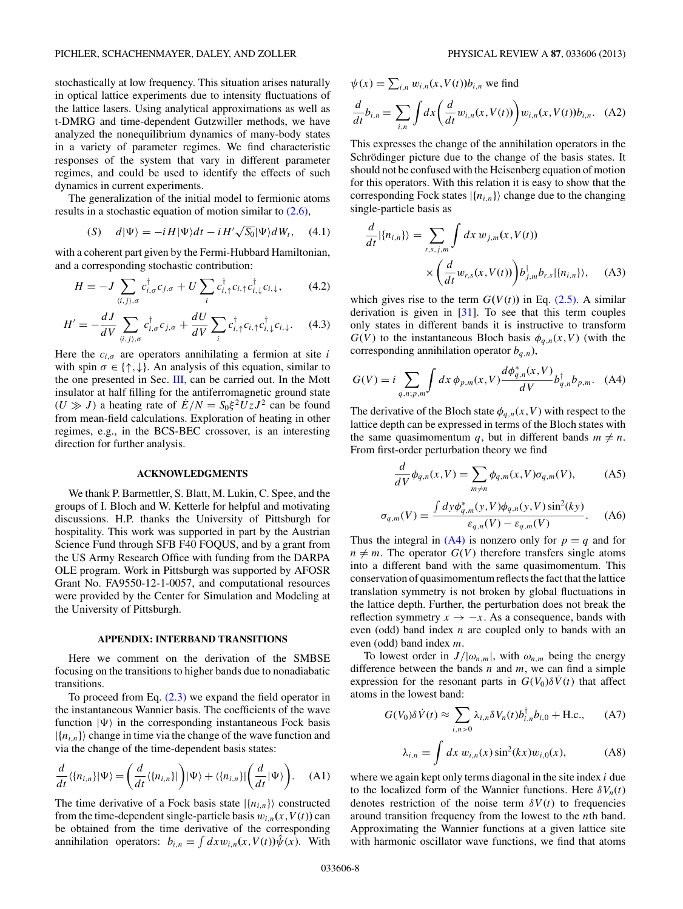stochastically at low frequency. This situation arises naturally in optical lattice experiments due to intensity fluctuations of the lattice lasers. Using analytical approximations as well as t-DMRG and time-dependent Gutzwiller methods, we have analyzed the nonequilibrium dynamics of many-body states in a variety of parameter regimes. We find characteristic responses of the system that vary in different parameter regimes, and could be used to identify the effects of such dynamics in current experiments.

The generalization of the initial model to fermionic atoms results in a stochastic equation of motion similar to [\(2.6\),](#page-2-0)

$$
(S) \quad d|\Psi\rangle = -iH|\Psi\rangle dt - iH'\sqrt{S_0}|\Psi\rangle dW_t, \quad (4.1)
$$

with a coherent part given by the Fermi-Hubbard Hamiltonian, and a corresponding stochastic contribution:

$$
H = -J \sum_{\langle i,j \rangle,\sigma} c_{i,\sigma}^{\dagger} c_{j,\sigma} + U \sum_{i} c_{i,\uparrow}^{\dagger} c_{i,\uparrow} c_{i,\downarrow}^{\dagger} c_{i,\downarrow}, \tag{4.2}
$$

$$
H' = -\frac{dJ}{dV} \sum_{\langle i,j \rangle,\sigma} c_{i,\sigma}^{\dagger} c_{j,\sigma} + \frac{dU}{dV} \sum_{i} c_{i,\uparrow}^{\dagger} c_{i,\uparrow} c_{i,\downarrow}^{\dagger} c_{i,\downarrow}. \tag{4.3}
$$

Here the  $c_{i,\sigma}$  are operators annihilating a fermion at site *i* with spin  $\sigma \in \{\uparrow, \downarrow\}$ . An analysis of this equation, similar to the one presented in Sec. [III,](#page-2-0) can be carried out. In the Mott insulator at half filling for the antiferromagnetic ground state  $(U \gg J)$  a heating rate of  $E/N = S_0 \xi^2 U_z J^2$  can be found from mean-field calculations. Exploration of heating in other regimes, e.g., in the BCS-BEC crossover, is an interesting direction for further analysis.

### **ACKNOWLEDGMENTS**

We thank P. Barmettler, S. Blatt, M. Lukin, C. Spee, and the groups of I. Bloch and W. Ketterle for helpful and motivating discussions. H.P. thanks the University of Pittsburgh for hospitality. This work was supported in part by the Austrian Science Fund through SFB F40 FOQUS, and by a grant from the US Army Research Office with funding from the DARPA OLE program. Work in Pittsburgh was supported by AFOSR Grant No. FA9550-12-1-0057, and computational resources were provided by the Center for Simulation and Modeling at the University of Pittsburgh.

#### **APPENDIX: INTERBAND TRANSITIONS**

Here we comment on the derivation of the SMBSE focusing on the transitions to higher bands due to nonadiabatic transitions.

To proceed from Eq.  $(2.3)$  we expand the field operator in the instantaneous Wannier basis. The coefficients of the wave function  $|\Psi\rangle$  in the corresponding instantaneous Fock basis  $|\{n_{i,n}\}\rangle$  change in time via the change of the wave function and via the change of the time-dependent basis states:

$$
\frac{d}{dt}\langle\{n_{i,n}\}|\Psi\rangle = \left(\frac{d}{dt}\langle\{n_{i,n}\}|\right)|\Psi\rangle + \langle\{n_{i,n}\}|\left(\frac{d}{dt}|\Psi\rangle\right). \tag{A1}
$$

The time derivative of a Fock basis state  $|\{n_{i,n}\}\rangle$  constructed from the time-dependent single-particle basis  $w_{i,n}(x, V(t))$  can be obtained from the time derivative of the corresponding annihilation operators:  $b_{i,n} = \int dx w_{i,n}(x, V(t)) \hat{\psi}(x)$ . With

$$
\psi(x) = \sum_{i,n} w_{i,n}(x, V(t)) b_{i,n} \text{ we find}
$$

$$
\frac{d}{dt} b_{i,n} = \sum_{i,n} \int dx \left( \frac{d}{dt} w_{i,n}(x, V(t)) \right) w_{i,n}(x, V(t)) b_{i,n}. \quad (A2)
$$

This expresses the change of the annihilation operators in the Schrödinger picture due to the change of the basis states. It should not be confused with the Heisenberg equation of motion for this operators. With this relation it is easy to show that the corresponding Fock states  $|\{n_{i,n}\}\rangle$  change due to the changing single-particle basis as

$$
\frac{d}{dt}|\{n_{i,n}\}\rangle = \sum_{r,s,j,m} \int dx \, w_{j,m}(x,V(t))
$$
\n
$$
\times \left(\frac{d}{dt} w_{r,s}(x,V(t))\right) b_{j,m}^{\dagger} b_{r,s} |\{n_{i,n}\}\rangle, \quad (A3)
$$

which gives rise to the term  $G(V(t))$  in Eq. [\(2.5\).](#page-1-0) A similar derivation is given in [\[31\]](#page-8-0). To see that this term couples only states in different bands it is instructive to transform  $G(V)$  to the instantaneous Bloch basis  $\phi_{q,n}(x, V)$  (with the corresponding annihilation operator  $b_{q,n}$ ),

$$
G(V) = i \sum_{q,n;p,m} \int dx \, \phi_{p,m}(x,V) \frac{d\phi_{q,n}^*(x,V)}{dV} b_{q,n}^{\dagger} b_{p,m}.
$$
 (A4)

The derivative of the Bloch state  $\phi_{q,n}(x, V)$  with respect to the lattice depth can be expressed in terms of the Bloch states with the same quasimomentum q, but in different bands  $m \neq n$ . From first-order perturbation theory we find

$$
\frac{d}{dV}\phi_{q,n}(x,V) = \sum_{m \neq n} \phi_{q,m}(x,V)\sigma_{q,m}(V),\tag{A5}
$$

$$
\sigma_{q,m}(V) = \frac{\int dy \phi_{q,m}^*(y, V)\phi_{q,n}(y, V)\sin^2(ky)}{\varepsilon_{q,n}(V) - \varepsilon_{q,m}(V)}.
$$
 (A6)

Thus the integral in  $(A4)$  is nonzero only for  $p = q$  and for  $n \neq m$ . The operator  $G(V)$  therefore transfers single atoms into a different band with the same quasimomentum. This conservation of quasimomentum reflects the fact that the lattice translation symmetry is not broken by global fluctuations in the lattice depth. Further, the perturbation does not break the reflection symmetry  $x \to -x$ . As a consequence, bands with even (odd) band index *n* are coupled only to bands with an even (odd) band index *m*.

To lowest order in  $J/|\omega_{n,m}|$ , with  $\omega_{n,m}$  being the energy difference between the bands *n* and *m*, we can find a simple expression for the resonant parts in  $G(V_0)\delta V(t)$  that affect atoms in the lowest band:

$$
G(V_0)\delta\dot{V}(t) \approx \sum_{i,n>0} \lambda_{i,n} \delta V_n(t) b_{i,n}^\dagger b_{i,0} + \text{H.c.}, \quad (A7)
$$

$$
\lambda_{i,n} = \int dx \ w_{i,n}(x) \sin^2(kx) w_{i,0}(x), \qquad (A8)
$$

where we again kept only terms diagonal in the site index *i* due to the localized form of the Wannier functions. Here  $\delta V_n(t)$ denotes restriction of the noise term  $\delta V(t)$  to frequencies around transition frequency from the lowest to the *n*th band. Approximating the Wannier functions at a given lattice site with harmonic oscillator wave functions, we find that atoms